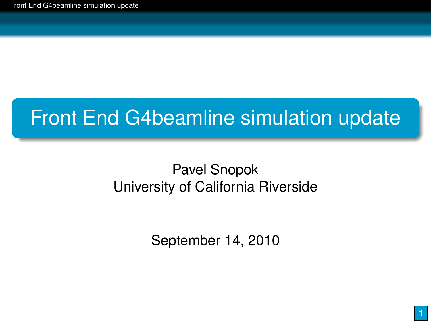# Front End G4beamline simulation update

### Pavel Snopok University of California Riverside

<span id="page-0-0"></span>September 14, 2010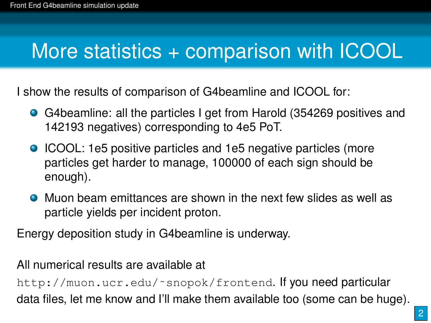## More statistics + comparison with ICOOL

I show the results of comparison of G4beamline and ICOOL for:

- G4beamline: all the particles I get from Harold (354269 positives and 142193 negatives) corresponding to 4e5 PoT.
- ICOOL: 1e5 positive particles and 1e5 negative particles (more particles get harder to manage, 100000 of each sign should be enough).
- Muon beam emittances are shown in the next few slides as well as particle yields per incident proton.

Energy deposition study in G4beamline is underway.

All numerical results are available at

http://muon.ucr.edu/~snopok/frontend. If you need particular data files, let me know and I'll make them available too (some can be huge).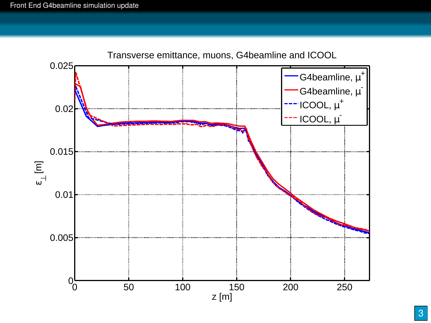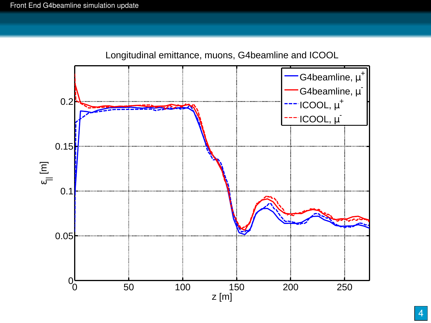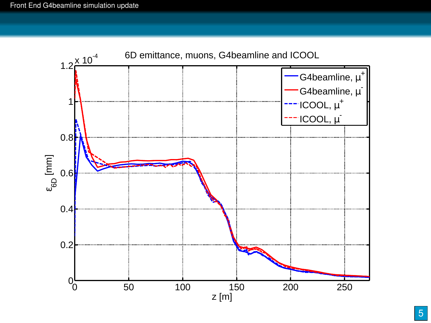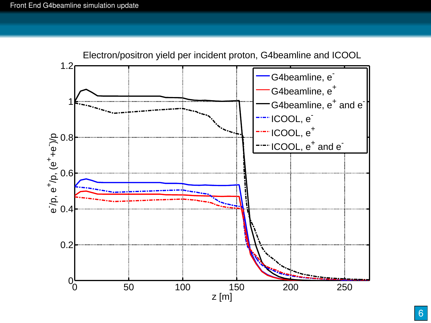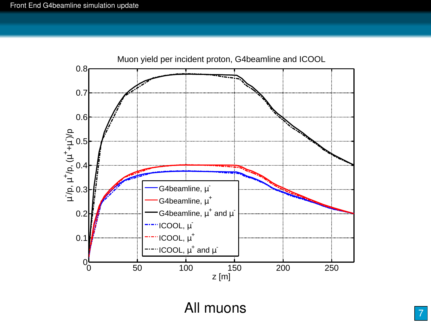

#### All muons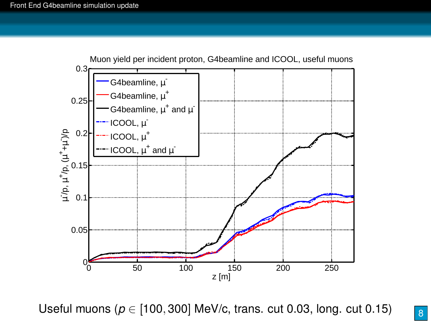

Useful muons (*p* ∈ [100, 300] MeV/c, trans. cut 0.03, long. cut 0.15)

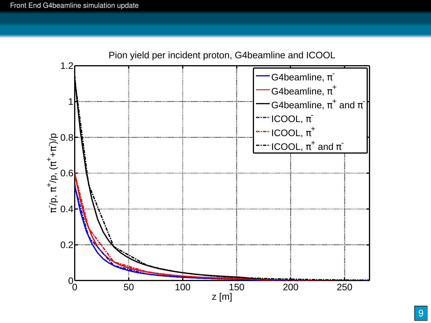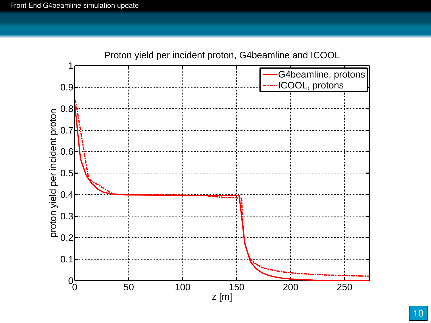